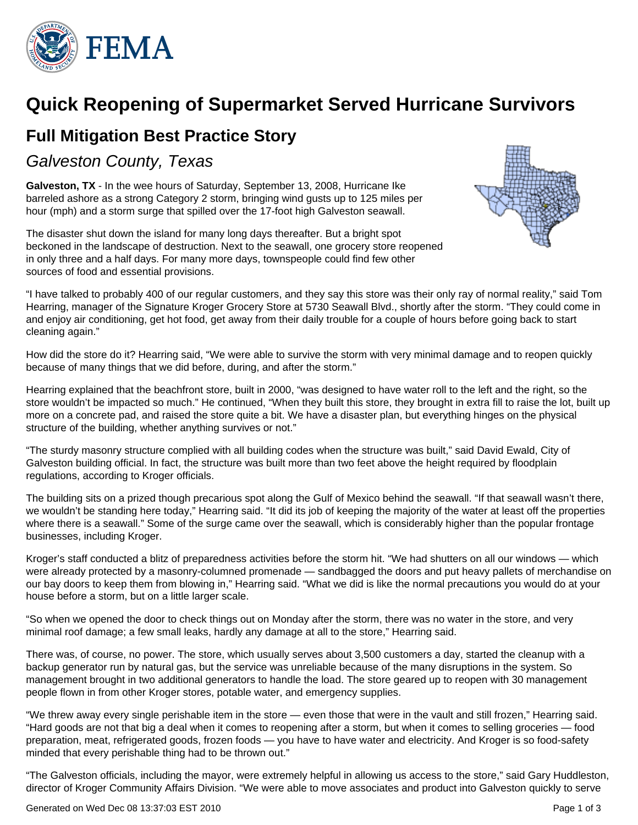

# **Quick Reopening of Supermarket Served Hurricane Survivors**

# **Full Mitigation Best Practice Story**

## Galveston County, Texas

**Galveston, TX** - In the wee hours of Saturday, September 13, 2008, Hurricane Ike barreled ashore as a strong Category 2 storm, bringing wind gusts up to 125 miles per hour (mph) and a storm surge that spilled over the 17-foot high Galveston seawall.

The disaster shut down the island for many long days thereafter. But a bright spot beckoned in the landscape of destruction. Next to the seawall, one grocery store reopened in only three and a half days. For many more days, townspeople could find few other sources of food and essential provisions.



"I have talked to probably 400 of our regular customers, and they say this store was their only ray of normal reality," said Tom Hearring, manager of the Signature Kroger Grocery Store at 5730 Seawall Blvd., shortly after the storm. "They could come in and enjoy air conditioning, get hot food, get away from their daily trouble for a couple of hours before going back to start cleaning again."

How did the store do it? Hearring said, "We were able to survive the storm with very minimal damage and to reopen quickly because of many things that we did before, during, and after the storm."

Hearring explained that the beachfront store, built in 2000, "was designed to have water roll to the left and the right, so the store wouldn't be impacted so much." He continued, "When they built this store, they brought in extra fill to raise the lot, built up more on a concrete pad, and raised the store quite a bit. We have a disaster plan, but everything hinges on the physical structure of the building, whether anything survives or not."

"The sturdy masonry structure complied with all building codes when the structure was built," said David Ewald, City of Galveston building official. In fact, the structure was built more than two feet above the height required by floodplain regulations, according to Kroger officials.

The building sits on a prized though precarious spot along the Gulf of Mexico behind the seawall. "If that seawall wasn't there, we wouldn't be standing here today," Hearring said. "It did its job of keeping the majority of the water at least off the properties where there is a seawall." Some of the surge came over the seawall, which is considerably higher than the popular frontage businesses, including Kroger.

Kroger's staff conducted a blitz of preparedness activities before the storm hit. "We had shutters on all our windows — which were already protected by a masonry-columned promenade — sandbagged the doors and put heavy pallets of merchandise on our bay doors to keep them from blowing in," Hearring said. "What we did is like the normal precautions you would do at your house before a storm, but on a little larger scale.

"So when we opened the door to check things out on Monday after the storm, there was no water in the store, and very minimal roof damage; a few small leaks, hardly any damage at all to the store," Hearring said.

There was, of course, no power. The store, which usually serves about 3,500 customers a day, started the cleanup with a backup generator run by natural gas, but the service was unreliable because of the many disruptions in the system. So management brought in two additional generators to handle the load. The store geared up to reopen with 30 management people flown in from other Kroger stores, potable water, and emergency supplies.

"We threw away every single perishable item in the store — even those that were in the vault and still frozen," Hearring said. "Hard goods are not that big a deal when it comes to reopening after a storm, but when it comes to selling groceries — food preparation, meat, refrigerated goods, frozen foods — you have to have water and electricity. And Kroger is so food-safety minded that every perishable thing had to be thrown out."

"The Galveston officials, including the mayor, were extremely helpful in allowing us access to the store," said Gary Huddleston, director of Kroger Community Affairs Division. "We were able to move associates and product into Galveston quickly to serve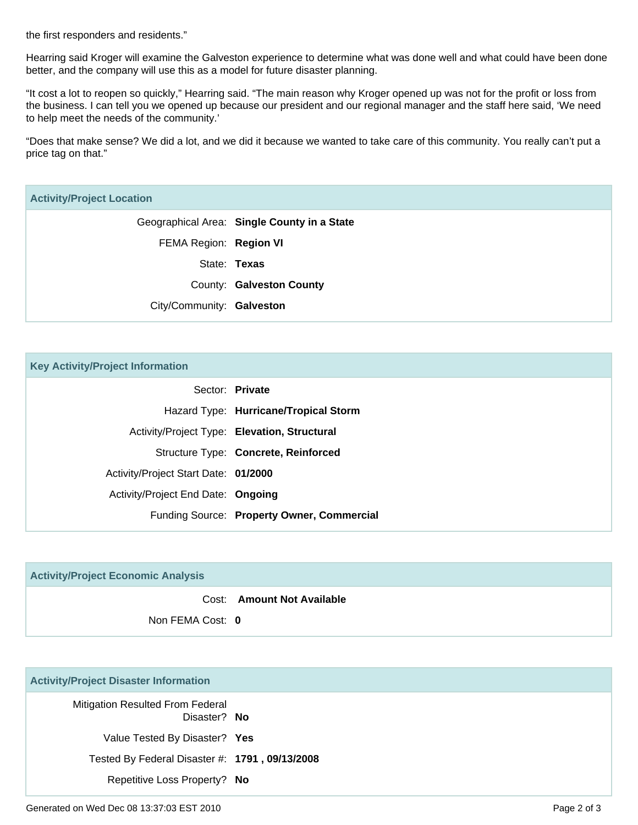the first responders and residents."

Hearring said Kroger will examine the Galveston experience to determine what was done well and what could have been done better, and the company will use this as a model for future disaster planning.

"It cost a lot to reopen so quickly," Hearring said. "The main reason why Kroger opened up was not for the profit or loss from the business. I can tell you we opened up because our president and our regional manager and the staff here said, 'We need to help meet the needs of the community.'

"Does that make sense? We did a lot, and we did it because we wanted to take care of this community. You really can't put a price tag on that."

#### **Activity/Project Location**

Geographical Area: **Single County in a State** FEMA Region: **Region VI** State: **Texas** County: **Galveston County** City/Community: **Galveston**

| Sector: Private                              |
|----------------------------------------------|
| Hazard Type: Hurricane/Tropical Storm        |
| Activity/Project Type: Elevation, Structural |
| Structure Type: Concrete, Reinforced         |
| Activity/Project Start Date: 01/2000         |
| Activity/Project End Date: Ongoing           |
| Funding Source: Property Owner, Commercial   |
|                                              |

| <b>Activity/Project Economic Analysis</b> |                            |
|-------------------------------------------|----------------------------|
|                                           | Cost: Amount Not Available |
| Non FEMA Cost: 0                          |                            |

#### **Activity/Project Disaster Information**

| <b>Mitigation Resulted From Federal</b><br>Disaster? No |  |
|---------------------------------------------------------|--|
| Value Tested By Disaster? Yes                           |  |
| Tested By Federal Disaster #: 1791, 09/13/2008          |  |
| Repetitive Loss Property? No                            |  |